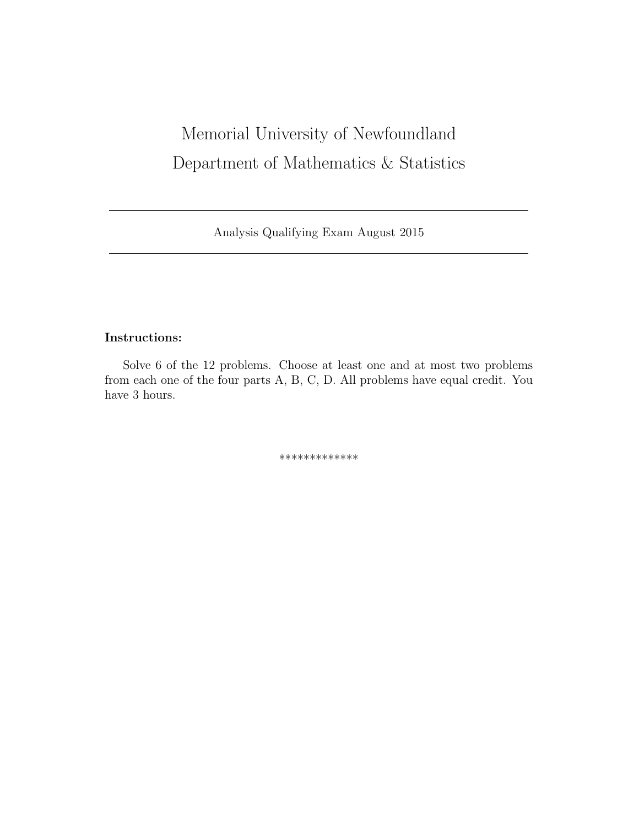# Memorial University of Newfoundland Department of Mathematics & Statistics

Analysis Qualifying Exam August 2015

## Instructions:

Solve 6 of the 12 problems. Choose at least one and at most two problems from each one of the four parts A, B, C, D. All problems have equal credit. You have 3 hours.

\*\*\*\*\*\*\*\*\*\*\*\*\*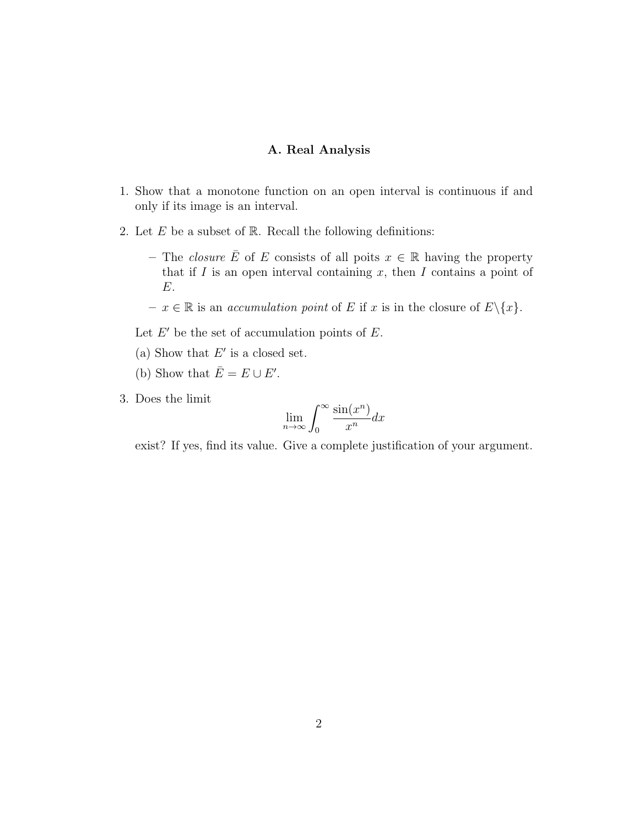## A. Real Analysis

- 1. Show that a monotone function on an open interval is continuous if and only if its image is an interval.
- 2. Let  $E$  be a subset of  $\mathbb R$ . Recall the following definitions:
	- The *closure*  $\overline{E}$  of E consists of all poits  $x \in \mathbb{R}$  having the property that if  $I$  is an open interval containing  $x$ , then  $I$  contains a point of E.
	- $x \in \mathbb{R}$  is an *accumulation point* of *E* if *x* is in the closure of  $E \setminus \{x\}$ .

Let  $E'$  be the set of accumulation points of  $E$ .

- (a) Show that  $E'$  is a closed set.
- (b) Show that  $\overline{E} = E \cup E'$ .
- 3. Does the limit

$$
\lim_{n \to \infty} \int_0^\infty \frac{\sin(x^n)}{x^n} dx
$$

exist? If yes, find its value. Give a complete justification of your argument.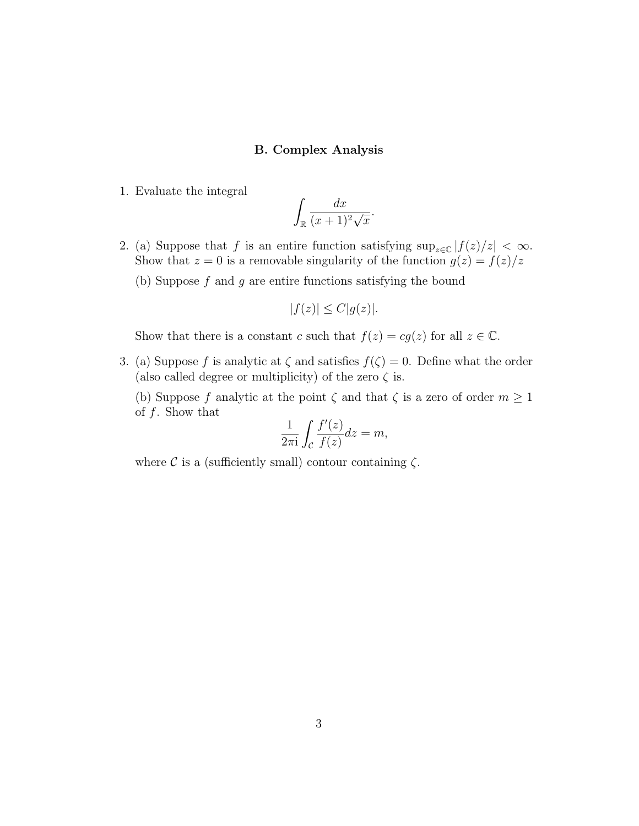### B. Complex Analysis

1. Evaluate the integral

$$
\int_{\mathbb{R}} \frac{dx}{(x+1)^2 \sqrt{x}}.
$$

- 2. (a) Suppose that f is an entire function satisfying  $\sup_{z\in\mathbb{C}}|f(z)/z| < \infty$ . Show that  $z = 0$  is a removable singularity of the function  $g(z) = f(z)/z$ 
	- (b) Suppose  $f$  and  $g$  are entire functions satisfying the bound

$$
|f(z)| \le C|g(z)|.
$$

Show that there is a constant c such that  $f(z) = cg(z)$  for all  $z \in \mathbb{C}$ .

3. (a) Suppose f is analytic at  $\zeta$  and satisfies  $f(\zeta) = 0$ . Define what the order (also called degree or multiplicity) of the zero  $\zeta$  is.

(b) Suppose f analytic at the point  $\zeta$  and that  $\zeta$  is a zero of order  $m \geq 1$ of  $f$ . Show that

$$
\frac{1}{2\pi i} \int_{\mathcal{C}} \frac{f'(z)}{f(z)} dz = m,
$$

where  $\mathcal C$  is a (sufficiently small) contour containing  $\zeta$ .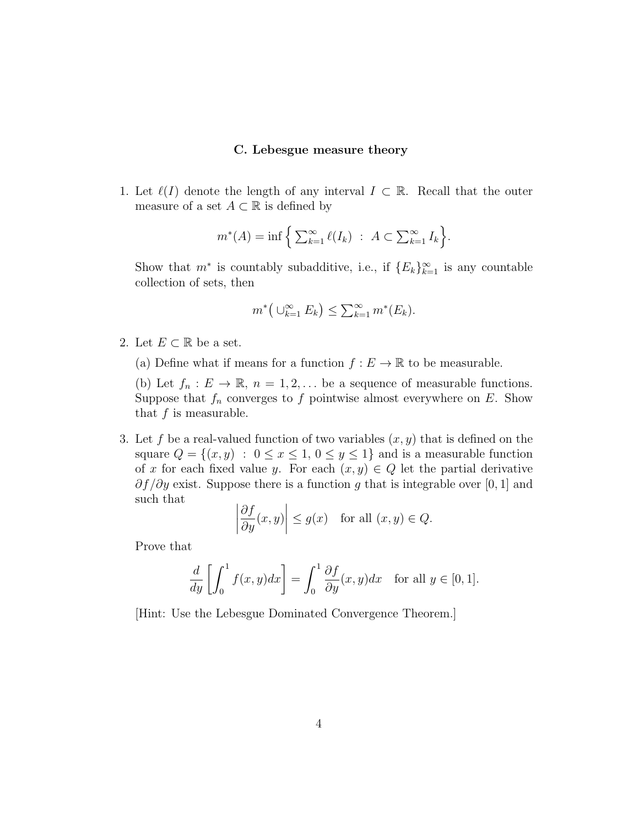#### C. Lebesgue measure theory

1. Let  $\ell(I)$  denote the length of any interval  $I \subset \mathbb{R}$ . Recall that the outer measure of a set  $A \subset \mathbb{R}$  is defined by

$$
m^*(A) = \inf \left\{ \sum_{k=1}^{\infty} \ell(I_k) \ : \ A \subset \sum_{k=1}^{\infty} I_k \right\}.
$$

Show that  $m^*$  is countably subadditive, i.e., if  ${E_k}_{k=1}^{\infty}$  is any countable collection of sets, then

$$
m^*\big(\cup_{k=1}^{\infty} E_k\big) \leq \sum_{k=1}^{\infty} m^*(E_k).
$$

- 2. Let  $E \subset \mathbb{R}$  be a set.
	- (a) Define what if means for a function  $f : E \to \mathbb{R}$  to be measurable.

(b) Let  $f_n : E \to \mathbb{R}, n = 1, 2, \dots$  be a sequence of measurable functions. Suppose that  $f_n$  converges to f pointwise almost everywhere on E. Show that  $f$  is measurable.

3. Let f be a real-valued function of two variables  $(x, y)$  that is defined on the square  $Q = \{(x, y) : 0 \le x \le 1, 0 \le y \le 1\}$  and is a measurable function of x for each fixed value y. For each  $(x, y) \in Q$  let the partial derivative  $\partial f/\partial y$  exist. Suppose there is a function g that is integrable over [0, 1] and such that

$$
\left|\frac{\partial f}{\partial y}(x,y)\right| \le g(x) \quad \text{for all } (x,y) \in Q.
$$

Prove that

$$
\frac{d}{dy}\left[\int_0^1 f(x,y)dx\right] = \int_0^1 \frac{\partial f}{\partial y}(x,y)dx \quad \text{for all } y \in [0,1].
$$

[Hint: Use the Lebesgue Dominated Convergence Theorem.]